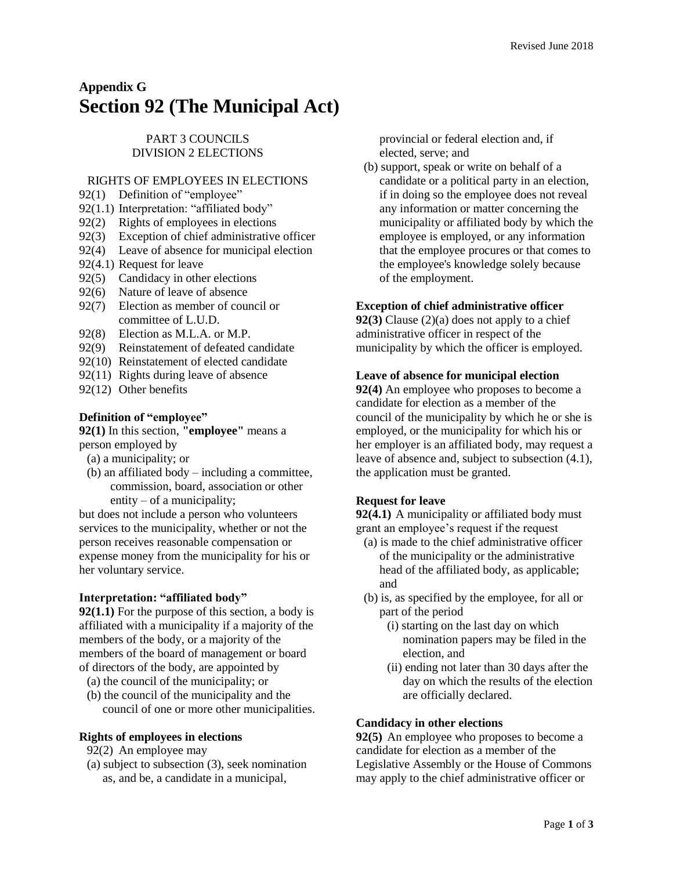# **Appendix G Section 92 (The Municipal Act)**

PART 3 COUNCILS DIVISION 2 ELECTIONS

# RIGHTS OF EMPLOYEES IN ELECTIONS

- [92\(1\)](https://web2.gov.mb.ca/laws/statutes/ccsm/m225e.php#92) Definition of "employee"
- 92(1.1) Interpretation: "affiliated body"
- 9[2\(2\)](https://web2.gov.mb.ca/laws/statutes/ccsm/m225e.php#92(2)) Rights of employees in elections
- 9[2\(3\)](https://web2.gov.mb.ca/laws/statutes/ccsm/m225e.php#92(3)) Exception of chief administrative officer
- 9[2\(4\)](https://web2.gov.mb.ca/laws/statutes/ccsm/m225e.php#92(4)) Leave of absence for municipal election
- 9[2\(4.1\)](https://web2.gov.mb.ca/laws/statutes/ccsm/m225e.php#92(4)) Request for leave
- 9[2\(5\)](https://web2.gov.mb.ca/laws/statutes/ccsm/m225e.php#92(5)) Candidacy in other elections
- 9[2\(6\)](https://web2.gov.mb.ca/laws/statutes/ccsm/m225e.php#92(6)) Nature of leave of absence
- 9[2\(7\)](https://web2.gov.mb.ca/laws/statutes/ccsm/m225e.php#92(7)) Election as member of council or committee of L.U.D.
- 9[2\(8\)](https://web2.gov.mb.ca/laws/statutes/ccsm/m225e.php#92(8)) Election as M.L.A. or M.P.
- 9[2\(9\)](https://web2.gov.mb.ca/laws/statutes/ccsm/m225e.php#92(9)) Reinstatement of defeated candidate
- 9[2\(10\)](https://web2.gov.mb.ca/laws/statutes/ccsm/m225e.php#92(10)) Reinstatement of elected candidate
- 9[2\(11\)](https://web2.gov.mb.ca/laws/statutes/ccsm/m225e.php#92(11)) Rights during leave of absence
- 9[2\(12\)](https://web2.gov.mb.ca/laws/statutes/ccsm/m225e.php#92(12)) Other benefits

## **Definition of "employee"**

**[92\(1\)](https://web2.gov.mb.ca/laws/statutes/ccsm/m225f.php#92)** In this section, **"employee"** means a person employed by

- (a) a municipality; or
- (b) an affiliated body including a committee, commission, board, association or other entity – of a municipality;

but does not include a person who volunteers services to the municipality, whether or not the person receives reasonable compensation or expense money from the municipality for his or her voluntary service.

## **Interpretation: "affiliated body"**

**[92\(1.1\)](https://web2.gov.mb.ca/laws/statutes/ccsm/m225f.php#92)** For the purpose of this section, a body is affiliated with a municipality if a majority of the members of the body, or a majority of the members of the board of management or board of directors of the body, are appointed by (a) the council of the municipality; or

(b) the council of the municipality and the council of one or more other municipalities.

## **Rights of employees in elections**

- [92\(2\)](https://web2.gov.mb.ca/laws/statutes/ccsm/m225f.php#92(2)) An employee may
- (a) subject to subsection (3), seek nomination as, and be, a candidate in a municipal,

provincial or federal election and, if elected, serve; and

(b) support, speak or write on behalf of a candidate or a political party in an election, if in doing so the employee does not reveal any information or matter concerning the municipality or affiliated body by which the employee is employed, or any information that the employee procures or that comes to the employee's knowledge solely because of the employment.

## **Exception of chief administrative officer**

**[92\(3\)](https://web2.gov.mb.ca/laws/statutes/ccsm/m225f.php#92(3))** Clause (2)(a) does not apply to a chief administrative officer in respect of the municipality by which the officer is employed.

#### **Leave of absence for municipal election**

**[92\(4\)](https://web2.gov.mb.ca/laws/statutes/ccsm/m225f.php#92(4))** An employee who proposes to become a candidate for election as a member of the council of the municipality by which he or she is employed, or the municipality for which his or her employer is an affiliated body, may request a leave of absence and, subject to subsection (4.1), the application must be granted.

## **Request for leave**

**[92\(4.1\)](https://web2.gov.mb.ca/laws/statutes/ccsm/m225f.php#92(4))** A municipality or affiliated body must grant an employee's request if the request

- (a) is made to the chief administrative officer of the municipality or the administrative head of the affiliated body, as applicable; and
- (b) is, as specified by the employee, for all or part of the period
	- (i) starting on the last day on which nomination papers may be filed in the election, and
	- (ii) ending not later than 30 days after the day on which the results of the election are officially declared.

## **Candidacy in other elections**

**[92\(5\)](https://web2.gov.mb.ca/laws/statutes/ccsm/m225f.php#92(5))** An employee who proposes to become a candidate for election as a member of the Legislative Assembly or the House of Commons may apply to the chief administrative officer or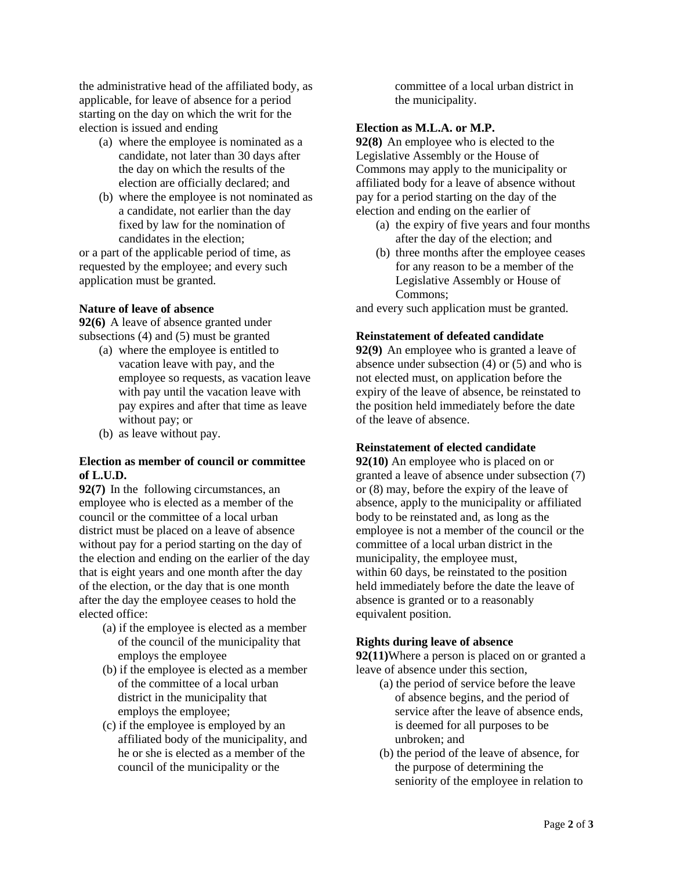the administrative head of the affiliated body, as applicable, for leave of absence for a period starting on the day on which the writ for the election is issued and ending

- (a) where the employee is nominated as a candidate, not later than 30 days after the day on which the results of the election are officially declared; and
- (b) where the employee is not nominated as a candidate, not earlier than the day fixed by law for the nomination of candidates in the election;

or a part of the applicable period of time, as requested by the employee; and every such application must be granted.

# **Nature of leave of absence**

**[92\(6\)](https://web2.gov.mb.ca/laws/statutes/ccsm/m225f.php#92(6))** A leave of absence granted under subsections (4) and (5) must be granted

- (a) where the employee is entitled to vacation leave with pay, and the employee so requests, as vacation leave with pay until the vacation leave with pay expires and after that time as leave without pay; or
- (b) as leave without pay.

## **Election as member of council or committee of L.U.D.**

**[92\(7\)](https://web2.gov.mb.ca/laws/statutes/ccsm/m225f.php#92(7))** In the following circumstances, an employee who is elected as a member of the council or the committee of a local urban district must be placed on a leave of absence without pay for a period starting on the day of the election and ending on the earlier of the day that is eight years and one month after the day of the election, or the day that is one month after the day the employee ceases to hold the elected office:

- (a) if the employee is elected as a member of the council of the municipality that employs the employee
- (b) if the employee is elected as a member of the committee of a local urban district in the municipality that employs the employee;
- (c) if the employee is employed by an affiliated body of the municipality, and he or she is elected as a member of the council of the municipality or the

committee of a local urban district in the municipality.

## **Election as M.L.A. or M.P.**

**[92\(8\)](https://web2.gov.mb.ca/laws/statutes/ccsm/m225f.php#92(8))** An employee who is elected to the Legislative Assembly or the House of Commons may apply to the municipality or affiliated body for a leave of absence without pay for a period starting on the day of the election and ending on the earlier of

- (a) the expiry of five years and four months after the day of the election; and
- (b) three months after the employee ceases for any reason to be a member of the Legislative Assembly or House of Commons;

and every such application must be granted.

## **Reinstatement of defeated candidate**

**[92\(9\)](https://web2.gov.mb.ca/laws/statutes/ccsm/m225f.php#92(9))** An employee who is granted a leave of absence under subsection (4) or (5) and who is not elected must, on application before the expiry of the leave of absence, be reinstated to the position held immediately before the date of the leave of absence.

## **Reinstatement of elected candidate**

**[92\(10\)](https://web2.gov.mb.ca/laws/statutes/ccsm/m225f.php#92(10))** An employee who is placed on or granted a leave of absence under subsection (7) or (8) may, before the expiry of the leave of absence, apply to the municipality or affiliated body to be reinstated and, as long as the employee is not a member of the council or the committee of a local urban district in the municipality, the employee must, within 60 days, be reinstated to the position held immediately before the date the leave of absence is granted or to a reasonably equivalent position.

## **Rights during leave of absence**

**[92\(11\)](https://web2.gov.mb.ca/laws/statutes/ccsm/m225f.php#92(11))**Where a person is placed on or granted a leave of absence under this section,

- (a) the period of service before the leave of absence begins, and the period of service after the leave of absence ends, is deemed for all purposes to be unbroken; and
- (b) the period of the leave of absence, for the purpose of determining the seniority of the employee in relation to